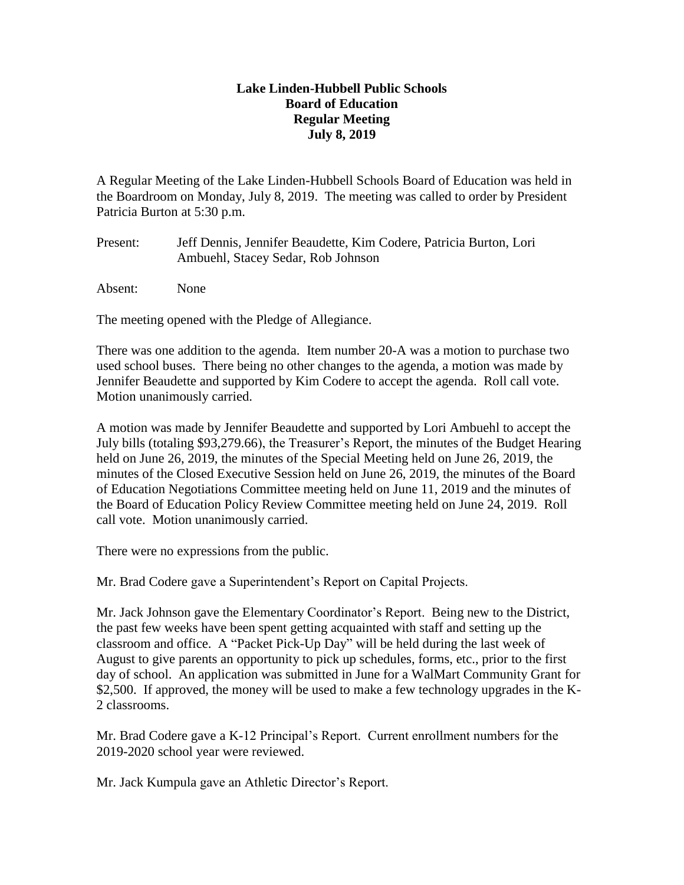## **Lake Linden-Hubbell Public Schools Board of Education Regular Meeting July 8, 2019**

A Regular Meeting of the Lake Linden-Hubbell Schools Board of Education was held in the Boardroom on Monday, July 8, 2019. The meeting was called to order by President Patricia Burton at 5:30 p.m.

Present: Jeff Dennis, Jennifer Beaudette, Kim Codere, Patricia Burton, Lori Ambuehl, Stacey Sedar, Rob Johnson

Absent: None

The meeting opened with the Pledge of Allegiance.

There was one addition to the agenda. Item number 20-A was a motion to purchase two used school buses. There being no other changes to the agenda, a motion was made by Jennifer Beaudette and supported by Kim Codere to accept the agenda. Roll call vote. Motion unanimously carried.

A motion was made by Jennifer Beaudette and supported by Lori Ambuehl to accept the July bills (totaling \$93,279.66), the Treasurer's Report, the minutes of the Budget Hearing held on June 26, 2019, the minutes of the Special Meeting held on June 26, 2019, the minutes of the Closed Executive Session held on June 26, 2019, the minutes of the Board of Education Negotiations Committee meeting held on June 11, 2019 and the minutes of the Board of Education Policy Review Committee meeting held on June 24, 2019. Roll call vote. Motion unanimously carried.

There were no expressions from the public.

Mr. Brad Codere gave a Superintendent's Report on Capital Projects.

Mr. Jack Johnson gave the Elementary Coordinator's Report. Being new to the District, the past few weeks have been spent getting acquainted with staff and setting up the classroom and office. A "Packet Pick-Up Day" will be held during the last week of August to give parents an opportunity to pick up schedules, forms, etc., prior to the first day of school. An application was submitted in June for a WalMart Community Grant for \$2,500. If approved, the money will be used to make a few technology upgrades in the K-2 classrooms.

Mr. Brad Codere gave a K-12 Principal's Report. Current enrollment numbers for the 2019-2020 school year were reviewed.

Mr. Jack Kumpula gave an Athletic Director's Report.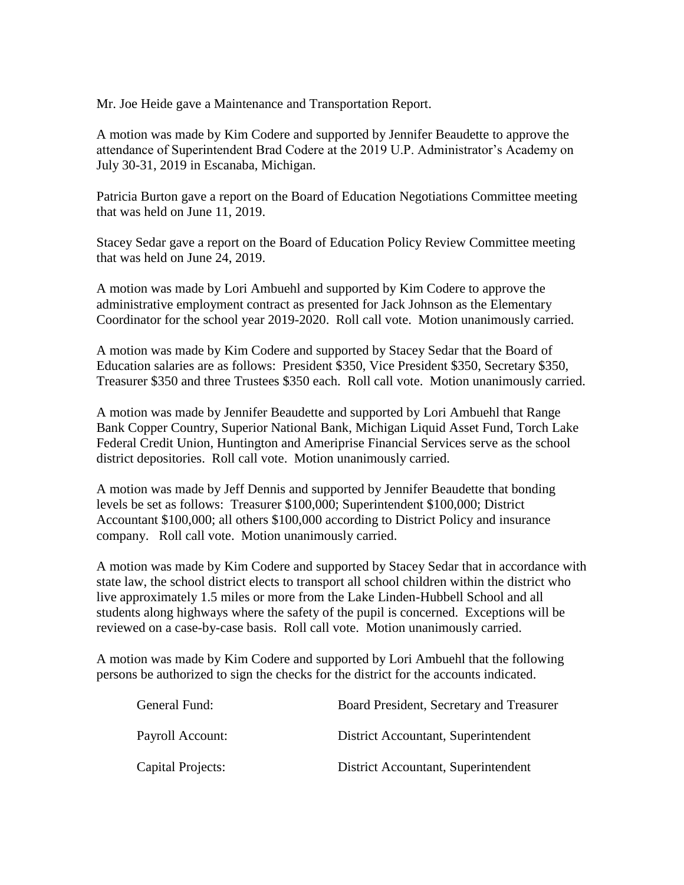Mr. Joe Heide gave a Maintenance and Transportation Report.

A motion was made by Kim Codere and supported by Jennifer Beaudette to approve the attendance of Superintendent Brad Codere at the 2019 U.P. Administrator's Academy on July 30-31, 2019 in Escanaba, Michigan.

Patricia Burton gave a report on the Board of Education Negotiations Committee meeting that was held on June 11, 2019.

Stacey Sedar gave a report on the Board of Education Policy Review Committee meeting that was held on June 24, 2019.

A motion was made by Lori Ambuehl and supported by Kim Codere to approve the administrative employment contract as presented for Jack Johnson as the Elementary Coordinator for the school year 2019-2020. Roll call vote. Motion unanimously carried.

A motion was made by Kim Codere and supported by Stacey Sedar that the Board of Education salaries are as follows: President \$350, Vice President \$350, Secretary \$350, Treasurer \$350 and three Trustees \$350 each. Roll call vote. Motion unanimously carried.

A motion was made by Jennifer Beaudette and supported by Lori Ambuehl that Range Bank Copper Country, Superior National Bank, Michigan Liquid Asset Fund, Torch Lake Federal Credit Union, Huntington and Ameriprise Financial Services serve as the school district depositories. Roll call vote. Motion unanimously carried.

A motion was made by Jeff Dennis and supported by Jennifer Beaudette that bonding levels be set as follows: Treasurer \$100,000; Superintendent \$100,000; District Accountant \$100,000; all others \$100,000 according to District Policy and insurance company. Roll call vote. Motion unanimously carried.

A motion was made by Kim Codere and supported by Stacey Sedar that in accordance with state law, the school district elects to transport all school children within the district who live approximately 1.5 miles or more from the Lake Linden-Hubbell School and all students along highways where the safety of the pupil is concerned. Exceptions will be reviewed on a case-by-case basis. Roll call vote. Motion unanimously carried.

A motion was made by Kim Codere and supported by Lori Ambuehl that the following persons be authorized to sign the checks for the district for the accounts indicated.

| General Fund:     | Board President, Secretary and Treasurer |
|-------------------|------------------------------------------|
| Payroll Account:  | District Accountant, Superintendent      |
| Capital Projects: | District Accountant, Superintendent      |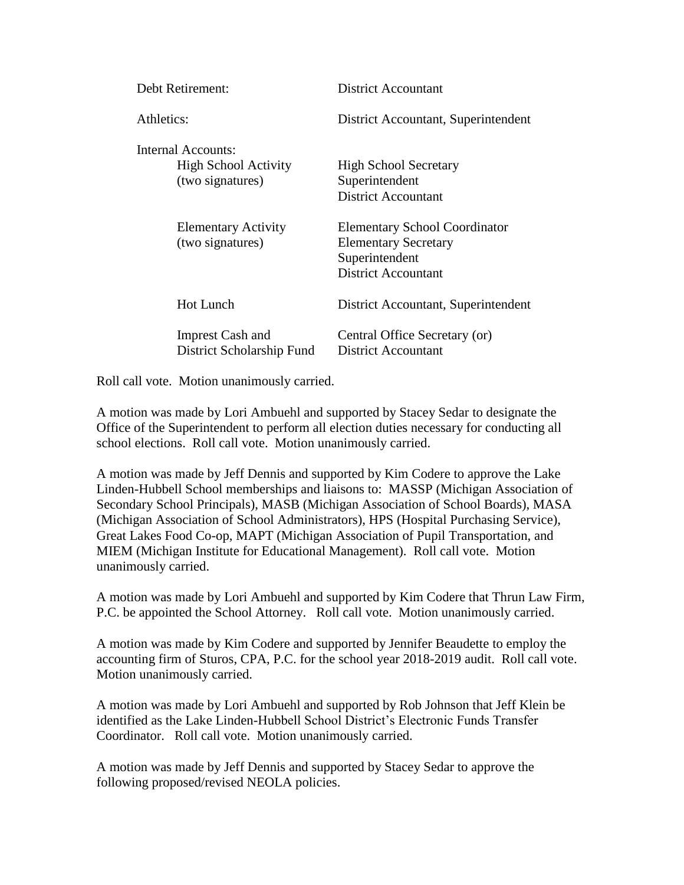| Debt Retirement:                                                      | <b>District Accountant</b>                                                                                          |
|-----------------------------------------------------------------------|---------------------------------------------------------------------------------------------------------------------|
| Athletics:                                                            | District Accountant, Superintendent                                                                                 |
| Internal Accounts:<br><b>High School Activity</b><br>(two signatures) | <b>High School Secretary</b><br>Superintendent<br><b>District Accountant</b>                                        |
| <b>Elementary Activity</b><br>(two signatures)                        | <b>Elementary School Coordinator</b><br><b>Elementary Secretary</b><br>Superintendent<br><b>District Accountant</b> |
| <b>Hot Lunch</b>                                                      | District Accountant, Superintendent                                                                                 |
| <b>Imprest Cash and</b><br>District Scholarship Fund                  | Central Office Secretary (or)<br>District Accountant                                                                |

Roll call vote. Motion unanimously carried.

A motion was made by Lori Ambuehl and supported by Stacey Sedar to designate the Office of the Superintendent to perform all election duties necessary for conducting all school elections. Roll call vote. Motion unanimously carried.

A motion was made by Jeff Dennis and supported by Kim Codere to approve the Lake Linden-Hubbell School memberships and liaisons to: MASSP (Michigan Association of Secondary School Principals), MASB (Michigan Association of School Boards), MASA (Michigan Association of School Administrators), HPS (Hospital Purchasing Service), Great Lakes Food Co-op, MAPT (Michigan Association of Pupil Transportation, and MIEM (Michigan Institute for Educational Management). Roll call vote. Motion unanimously carried.

A motion was made by Lori Ambuehl and supported by Kim Codere that Thrun Law Firm, P.C. be appointed the School Attorney. Roll call vote. Motion unanimously carried.

A motion was made by Kim Codere and supported by Jennifer Beaudette to employ the accounting firm of Sturos, CPA, P.C. for the school year 2018-2019 audit. Roll call vote. Motion unanimously carried.

A motion was made by Lori Ambuehl and supported by Rob Johnson that Jeff Klein be identified as the Lake Linden-Hubbell School District's Electronic Funds Transfer Coordinator. Roll call vote. Motion unanimously carried.

A motion was made by Jeff Dennis and supported by Stacey Sedar to approve the following proposed/revised NEOLA policies.